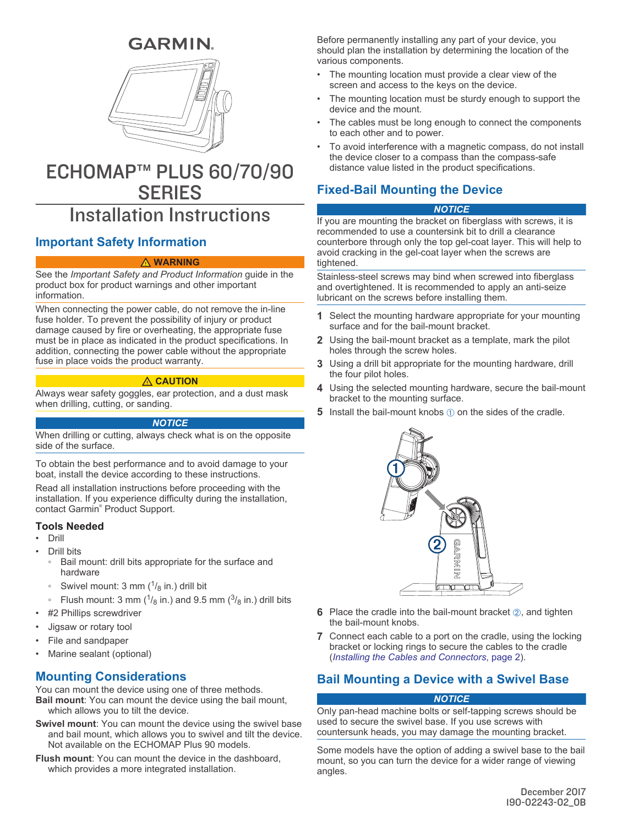# **GARMIN**



# ECHOMAP™ PLUS 60/70/90 **SERIES**

# Installation Instructions

# **Important Safety Information**

#### **WARNING**

See the *Important Safety and Product Information* guide in the product box for product warnings and other important information.

When connecting the power cable, do not remove the in-line fuse holder. To prevent the possibility of injury or product damage caused by fire or overheating, the appropriate fuse must be in place as indicated in the product specifications. In addition, connecting the power cable without the appropriate fuse in place voids the product warranty.

### **CAUTION**

Always wear safety goggles, ear protection, and a dust mask when drilling, cutting, or sanding.

#### *NOTICE*

When drilling or cutting, always check what is on the opposite side of the surface.

To obtain the best performance and to avoid damage to your boat, install the device according to these instructions.

Read all installation instructions before proceeding with the installation. If you experience difficulty during the installation, contact Garmin® Product Support.

#### **Tools Needed**

- Drill
- Drill bits
	- Bail mount: drill bits appropriate for the surface and hardware
	- Swivel mount: 3 mm  $(1/8)$  in.) drill bit
	- ∘ Flush mount: 3 mm ( $\frac{1}{8}$  in.) and 9.5 mm ( $\frac{3}{8}$  in.) drill bits
- #2 Phillips screwdriver
- Jigsaw or rotary tool
- File and sandpaper
- Marine sealant (optional)

### **Mounting Considerations**

You can mount the device using one of three methods. **Bail mount**: You can mount the device using the bail mount, which allows you to tilt the device.

- **Swivel mount**: You can mount the device using the swivel base and bail mount, which allows you to swivel and tilt the device. Not available on the ECHOMAP Plus 90 models.
- **Flush mount**: You can mount the device in the dashboard, which provides a more integrated installation.

Before permanently installing any part of your device, you should plan the installation by determining the location of the various components.

- The mounting location must provide a clear view of the screen and access to the keys on the device.
- The mounting location must be sturdy enough to support the device and the mount.
- The cables must be long enough to connect the components to each other and to power.
- To avoid interference with a magnetic compass, do not install the device closer to a compass than the compass-safe distance value listed in the product specifications.

# **Fixed-Bail Mounting the Device**

#### *NOTICE*

If you are mounting the bracket on fiberglass with screws, it is recommended to use a countersink bit to drill a clearance counterbore through only the top gel-coat layer. This will help to avoid cracking in the gel-coat layer when the screws are tightened.

Stainless-steel screws may bind when screwed into fiberglass and overtightened. It is recommended to apply an anti-seize lubricant on the screws before installing them.

- **1** Select the mounting hardware appropriate for your mounting surface and for the bail-mount bracket.
- **2** Using the bail-mount bracket as a template, mark the pilot holes through the screw holes.
- **3** Using a drill bit appropriate for the mounting hardware, drill the four pilot holes.
- **4** Using the selected mounting hardware, secure the bail-mount bracket to the mounting surface.
- **5** Install the bail-mount knobs  $\oplus$  on the sides of the cradle.



- **6** Place the cradle into the bail-mount bracket 2, and tighten the bail-mount knobs.
- **7** Connect each cable to a port on the cradle, using the locking bracket or locking rings to secure the cables to the cradle (*[Installing the Cables and Connectors](#page-1-0)*, page 2).

## **Bail Mounting a Device with a Swivel Base**

#### *NOTICE*

Only pan-head machine bolts or self-tapping screws should be used to secure the swivel base. If you use screws with countersunk heads, you may damage the mounting bracket.

Some models have the option of adding a swivel base to the bail mount, so you can turn the device for a wider range of viewing angles.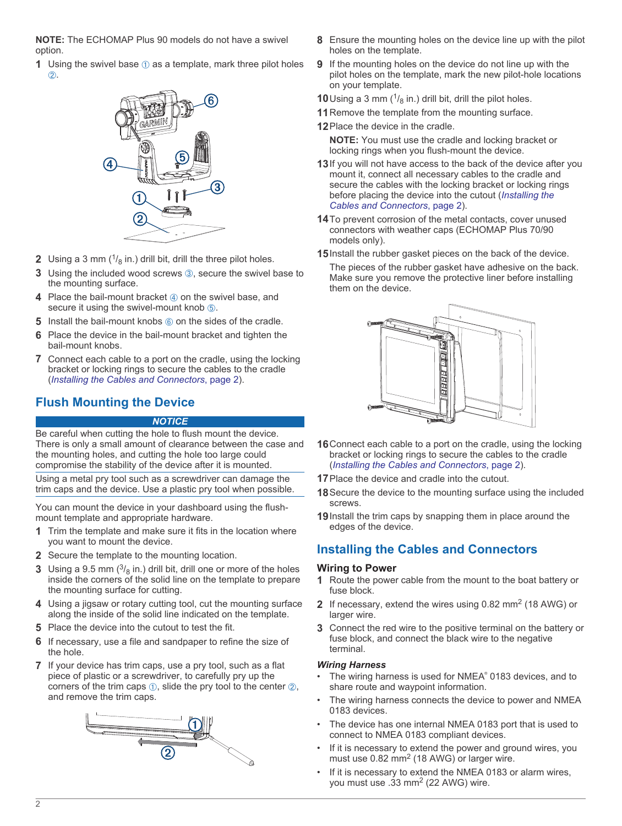<span id="page-1-0"></span>**NOTE:** The ECHOMAP Plus 90 models do not have a swivel option.

**1** Using the swivel base  $\theta$  as a template, mark three pilot holes Á.



- **2** Using a 3 mm  $\binom{1}{8}$  in.) drill bit, drill the three pilot holes.
- **3** Using the included wood screws **3**, secure the swivel base to the mounting surface.
- **4** Place the bail-mount bracket  $\phi$  on the swivel base, and secure it using the swivel-mount knob  $\circled$ .
- **5** Install the bail-mount knobs  $\circledcirc$  on the sides of the cradle.
- **6** Place the device in the bail-mount bracket and tighten the bail-mount knobs.
- **7** Connect each cable to a port on the cradle, using the locking bracket or locking rings to secure the cables to the cradle (*Installing the Cables and Connectors*, page 2).

## **Flush Mounting the Device**

#### *NOTICE*

Be careful when cutting the hole to flush mount the device. There is only a small amount of clearance between the case and the mounting holes, and cutting the hole too large could compromise the stability of the device after it is mounted.

Using a metal pry tool such as a screwdriver can damage the trim caps and the device. Use a plastic pry tool when possible.

You can mount the device in your dashboard using the flushmount template and appropriate hardware.

- **1** Trim the template and make sure it fits in the location where you want to mount the device.
- **2** Secure the template to the mounting location.
- **3** Using a 9.5 mm  $\binom{3}{8}$  in.) drill bit, drill one or more of the holes inside the corners of the solid line on the template to prepare the mounting surface for cutting.
- **4** Using a jigsaw or rotary cutting tool, cut the mounting surface along the inside of the solid line indicated on the template.
- **5** Place the device into the cutout to test the fit.
- **6** If necessary, use a file and sandpaper to refine the size of the hole.
- **7** If your device has trim caps, use a pry tool, such as a flat piece of plastic or a screwdriver, to carefully pry up the corners of the trim caps  $\circled{1}$ , slide the pry tool to the center  $\circled{2}$ , and remove the trim caps.



- **8** Ensure the mounting holes on the device line up with the pilot holes on the template.
- **9** If the mounting holes on the device do not line up with the pilot holes on the template, mark the new pilot-hole locations on your template.
- **10** Using a 3 mm  $(^{1}/_{8}$  in.) drill bit, drill the pilot holes.
- **11**Remove the template from the mounting surface.
- **12**Place the device in the cradle.

**NOTE:** You must use the cradle and locking bracket or locking rings when you flush-mount the device.

- **13**If you will not have access to the back of the device after you mount it, connect all necessary cables to the cradle and secure the cables with the locking bracket or locking rings before placing the device into the cutout (*Installing the Cables and Connectors*, page 2).
- **14**To prevent corrosion of the metal contacts, cover unused connectors with weather caps (ECHOMAP Plus 70/90 models only).
- **15**Install the rubber gasket pieces on the back of the device.
	- The pieces of the rubber gasket have adhesive on the back. Make sure you remove the protective liner before installing them on the device.



- **16**Connect each cable to a port on the cradle, using the locking bracket or locking rings to secure the cables to the cradle (*Installing the Cables and Connectors*, page 2).
- **17**Place the device and cradle into the cutout.
- **18**Secure the device to the mounting surface using the included screws.
- **19**Install the trim caps by snapping them in place around the edges of the device.

## **Installing the Cables and Connectors**

#### **Wiring to Power**

- **1** Route the power cable from the mount to the boat battery or fuse block.
- 2 If necessary, extend the wires using 0.82 mm<sup>2</sup> (18 AWG) or larger wire.
- **3** Connect the red wire to the positive terminal on the battery or fuse block, and connect the black wire to the negative terminal.

#### *Wiring Harness*

- The wiring harness is used for NMEA® 0183 devices, and to share route and waypoint information.
- The wiring harness connects the device to power and NMEA 0183 devices.
- The device has one internal NMEA 0183 port that is used to connect to NMEA 0183 compliant devices.
- If it is necessary to extend the power and ground wires, you must use 0.82 mm<sup>2</sup> (18 AWG) or larger wire.
- If it is necessary to extend the NMEA 0183 or alarm wires, you must use .33 mm<sup>2</sup> (22 AWG) wire.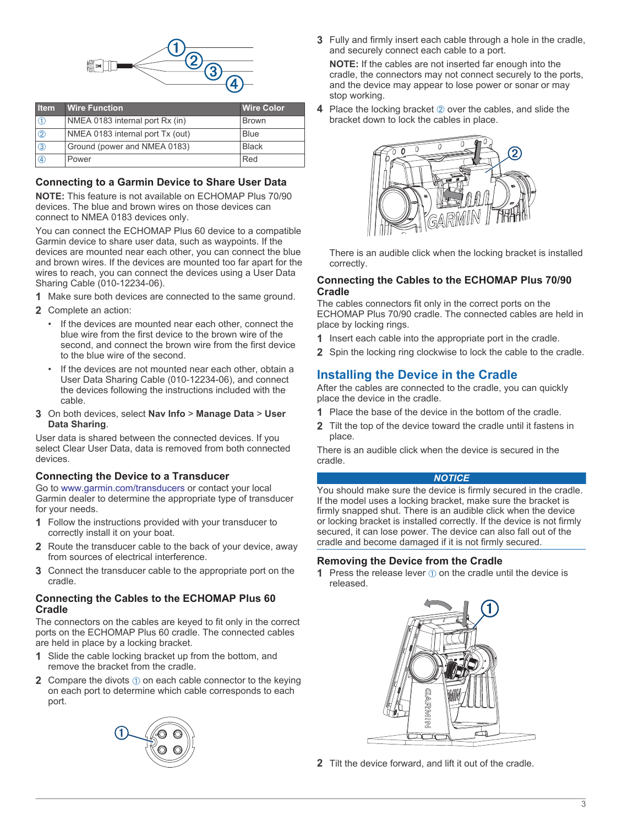

| <b>I</b> tem  | <b>Wire Function</b>             | <b>Wire Color</b> |
|---------------|----------------------------------|-------------------|
|               | NMEA 0183 internal port Rx (in)  | <b>Brown</b>      |
| $\circled{2}$ | NMEA 0183 internal port Tx (out) | <b>Blue</b>       |
| $\circled{3}$ | Ground (power and NMEA 0183)     | <b>Black</b>      |
| A)            | Power                            | Red               |

### **Connecting to a Garmin Device to Share User Data**

**NOTE:** This feature is not available on ECHOMAP Plus 70/90 devices. The blue and brown wires on those devices can connect to NMEA 0183 devices only.

You can connect the ECHOMAP Plus 60 device to a compatible Garmin device to share user data, such as waypoints. If the devices are mounted near each other, you can connect the blue and brown wires. If the devices are mounted too far apart for the wires to reach, you can connect the devices using a User Data Sharing Cable (010-12234-06).

- **1** Make sure both devices are connected to the same ground.
- **2** Complete an action:
	- If the devices are mounted near each other, connect the blue wire from the first device to the brown wire of the second, and connect the brown wire from the first device to the blue wire of the second.
	- If the devices are not mounted near each other, obtain a User Data Sharing Cable (010-12234-06), and connect the devices following the instructions included with the cable.
- **3** On both devices, select **Nav Info** > **Manage Data** > **User Data Sharing**.

User data is shared between the connected devices. If you select Clear User Data, data is removed from both connected devices.

#### **Connecting the Device to a Transducer**

Go to [www.garmin.com/transducers](http://www.garmin.com/transducers) or contact your local Garmin dealer to determine the appropriate type of transducer for your needs.

- **1** Follow the instructions provided with your transducer to correctly install it on your boat.
- **2** Route the transducer cable to the back of your device, away from sources of electrical interference.
- **3** Connect the transducer cable to the appropriate port on the cradle.

### **Connecting the Cables to the ECHOMAP Plus 60 Cradle**

The connectors on the cables are keyed to fit only in the correct ports on the ECHOMAP Plus 60 cradle. The connected cables are held in place by a locking bracket.

- **1** Slide the cable locking bracket up from the bottom, and remove the bracket from the cradle.
- **2** Compare the divots  $\oplus$  on each cable connector to the keying on each port to determine which cable corresponds to each port.



**3** Fully and firmly insert each cable through a hole in the cradle, and securely connect each cable to a port.

**NOTE:** If the cables are not inserted far enough into the cradle, the connectors may not connect securely to the ports, and the device may appear to lose power or sonar or may stop working.

**4** Place the locking bracket  $\oslash$  over the cables, and slide the bracket down to lock the cables in place.



There is an audible click when the locking bracket is installed correctly.

#### **Connecting the Cables to the ECHOMAP Plus 70/90 Cradle**

The cables connectors fit only in the correct ports on the ECHOMAP Plus 70/90 cradle. The connected cables are held in place by locking rings.

- **1** Insert each cable into the appropriate port in the cradle.
- **2** Spin the locking ring clockwise to lock the cable to the cradle.

### **Installing the Device in the Cradle**

After the cables are connected to the cradle, you can quickly place the device in the cradle.

- **1** Place the base of the device in the bottom of the cradle.
- **2** Tilt the top of the device toward the cradle until it fastens in place.

There is an audible click when the device is secured in the cradle.

#### *NOTICE*

You should make sure the device is firmly secured in the cradle. If the model uses a locking bracket, make sure the bracket is firmly snapped shut. There is an audible click when the device or locking bracket is installed correctly. If the device is not firmly secured, it can lose power. The device can also fall out of the cradle and become damaged if it is not firmly secured.

#### **Removing the Device from the Cradle**

**1** Press the release lever  $\theta$  on the cradle until the device is released.



**2** Tilt the device forward, and lift it out of the cradle.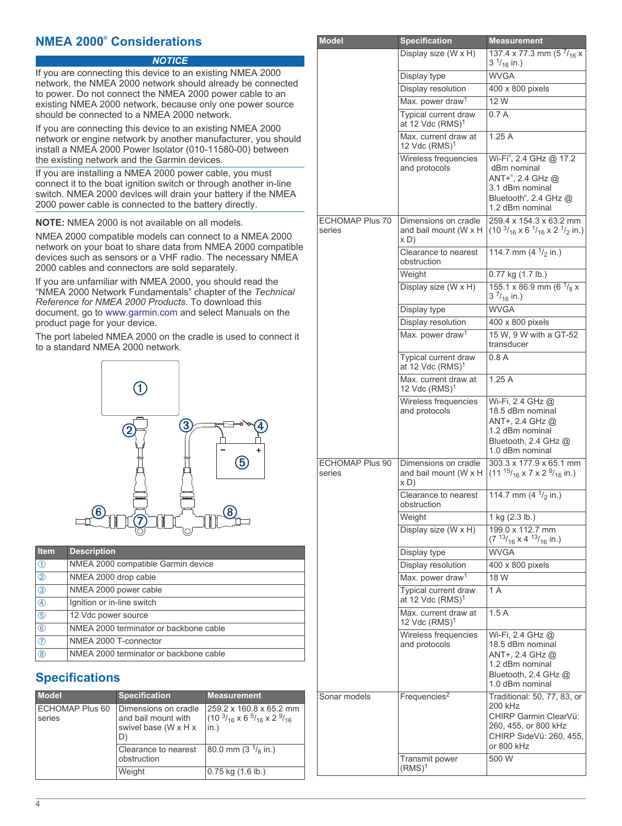## **NMEA 2000® Considerations**

### *NOTICE*

If you are connecting this device to an existing NMEA 2000 network, the NMEA 2000 network should already be connected to power. Do not connect the NMEA 2000 power cable to an existing NMEA 2000 network, because only one power source should be connected to a NMEA 2000 network.

If you are connecting this device to an existing NMEA 2000 network or engine network by another manufacturer, you should install a NMEA 2000 Power Isolator (010-11580-00) between the existing network and the Garmin devices.

If you are installing a NMEA 2000 power cable, you must connect it to the boat ignition switch or through another in-line switch. NMEA 2000 devices will drain your battery if the NMEA 2000 power cable is connected to the battery directly.

**NOTE:** NMEA 2000 is not available on all models.

NMEA 2000 compatible models can connect to a NMEA 2000 network on your boat to share data from NMEA 2000 compatible devices such as sensors or a VHF radio. The necessary NMEA 2000 cables and connectors are sold separately.

If you are unfamiliar with NMEA 2000, you should read the "NMEA 2000 Network Fundamentals" chapter of the *Technical Reference for NMEA 2000 Products*. To download this document, go to [www.garmin.com](http://www.garmin.com) and select Manuals on the product page for your device.

The port labeled NMEA 2000 on the cradle is used to connect it to a standard NMEA 2000 network.



| <b>Item</b>    | <b>Description</b>                     |
|----------------|----------------------------------------|
| $\circledD$    | NMEA 2000 compatible Garmin device     |
| $\circledcirc$ | NMEA 2000 drop cable                   |
| $\circled{3}$  | NMEA 2000 power cable                  |
| $\circled{4}$  | Ignition or in-line switch             |
| (5)            | 12 Vdc power source                    |
| $\circled6$    | NMEA 2000 terminator or backbone cable |
| $\circledD$    | NMEA 2000 T-connector                  |
| (8)            | NMEA 2000 terminator or backbone cable |

# **Specifications**

| <b>Model</b>              | <b>Specification</b>                                                      | <b>Measurement</b>                                                                        |
|---------------------------|---------------------------------------------------------------------------|-------------------------------------------------------------------------------------------|
| ECHOMAP Plus 60<br>series | Dimensions on cradle<br>and bail mount with<br>swivel base (W x H x<br>D) | 259.2 x 160.8 x 65.2 mm<br>$(10^{3}/_{16} \times 6^{5}/_{16} \times 2^{9}/_{16})$<br>in.) |
|                           | Clearance to nearest<br>obstruction                                       | 80.0 mm (3 $\frac{1}{8}$ in.)                                                             |
|                           | Weight                                                                    | $0.75$ kg $(1.6$ lb.)                                                                     |

| <b>Model</b>                     | <b>Specification</b>                                  | <b>Measurement</b>                                                                                                                                 |
|----------------------------------|-------------------------------------------------------|----------------------------------------------------------------------------------------------------------------------------------------------------|
|                                  | Display size (W x H)                                  | 137.4 x 77.3 mm (5 $^{7}/_{16}$ x<br>$3\frac{1}{16}$ in.)                                                                                          |
|                                  | Display type                                          | <b>WVGA</b>                                                                                                                                        |
|                                  | Display resolution                                    | 400 x 800 pixels                                                                                                                                   |
|                                  | Max. power draw <sup>1</sup>                          | 12 W                                                                                                                                               |
|                                  | Typical current draw<br>at 12 Vdc $(RMS)^1$           | 0.7A                                                                                                                                               |
|                                  | Max. current draw at<br>12 $Vdc$ (RMS) <sup>1</sup>   | 1.25A                                                                                                                                              |
|                                  | Wireless frequencies<br>and protocols                 | Wi-Fi <sup>®</sup> , 2.4 GHz @ 17.2<br>dBm nominal<br>ANT+ <sup>®</sup> , 2.4 GHz @<br>3.1 dBm nominal<br>Bluetooth®, 2.4 GHz @<br>1.2 dBm nominal |
| <b>ECHOMAP Plus 70</b><br>series | Dimensions on cradle<br>and bail mount (W x H<br>x D) | 259.4 x 154.3 x 63.2 mm<br>$(103/16 x 61/16 x 21/2 in.)$                                                                                           |
|                                  | Clearance to nearest<br>obstruction                   | 114.7 mm (4 $\frac{1}{2}$ in.)                                                                                                                     |
|                                  | Weight                                                | 0.77 kg (1.7 lb.)                                                                                                                                  |
|                                  | Display size (W x H)                                  | 155.1 x 86.9 mm (6 $\frac{1}{8}$ x<br>$3 \frac{7}{16}$ in.)                                                                                        |
|                                  | Display type                                          | <b>WVGA</b>                                                                                                                                        |
|                                  | Display resolution                                    | 400 x 800 pixels                                                                                                                                   |
|                                  | Max. power draw <sup>1</sup>                          | 15 W, 9 W with a GT-52<br>transducer                                                                                                               |
|                                  | Typical current draw<br>at 12 Vdc $(RMS)^1$           | 0.8 A                                                                                                                                              |
|                                  | Max. current draw at<br>12 $Vdc$ (RMS) <sup>1</sup>   | 1.25A                                                                                                                                              |
|                                  | Wireless frequencies<br>and protocols                 | Wi-Fi, 2.4 GHz @<br>18.5 dBm nominal<br>ANT+, 2.4 GHz @<br>1.2 dBm nominal<br>Bluetooth, 2.4 GHz @<br>1.0 dBm nominal                              |
| ECHOMAP Plus 90<br>series        | Dimensions on cradle<br>and bail mount (W x H<br>x D) | $303.3 \times 177.9 \times 65.1$ mm<br>$(11^{15}/_{16} \times 7 \times 2^{9}/_{16} \text{ in.})$                                                   |
|                                  | Clearance to nearest<br>obstruction                   | 114.7 mm $(41/2)$ in.)                                                                                                                             |
|                                  | Weight                                                | 1 kg (2.3 lb.)                                                                                                                                     |
|                                  | Display size (W x H)                                  | 199.0 x 112.7 mm<br>$(713/_{16} x 413/_{16} in.)$                                                                                                  |
|                                  | Display type                                          | <b>WVGA</b>                                                                                                                                        |
|                                  | Display resolution                                    | 400 x 800 pixels                                                                                                                                   |
|                                  | Max. power draw <sup>1</sup>                          | 18W                                                                                                                                                |
|                                  | Typical current draw<br>at 12 Vdc (RMS) <sup>1</sup>  | 1 A                                                                                                                                                |
|                                  | Max. current draw at<br>12 Vdc $(RMS)^1$              | 1.5A                                                                                                                                               |
|                                  | Wireless frequencies<br>and protocols                 | Wi-Fi, 2.4 GHz @<br>18.5 dBm nominal<br>ANT+, 2.4 GHz @<br>1.2 dBm nominal<br>Bluetooth, 2.4 GHz @<br>1.0 dBm nominal                              |
| Sonar models                     | Frequencies <sup>2</sup>                              | Traditional: 50, 77, 83, or<br>200 kHz<br>CHIRP Garmin ClearVü:<br>260, 455, or 800 kHz<br>CHIRP SideVü: 260, 455,<br>or 800 kHz                   |
|                                  | Transmit power<br>$(RMS)^1$                           | 500 W                                                                                                                                              |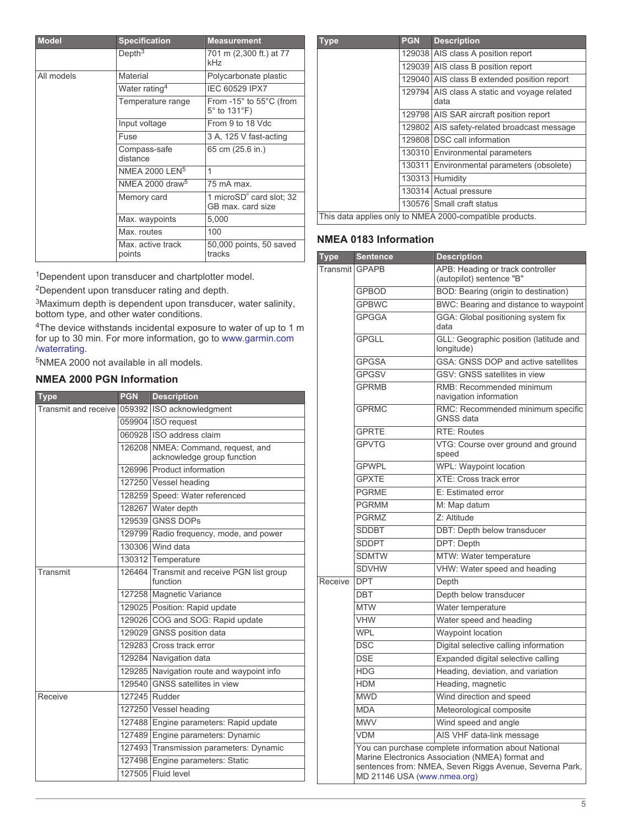| <b>Model</b> | <b>Specification</b>        | <b>Measurement</b>                                                     |
|--------------|-----------------------------|------------------------------------------------------------------------|
|              | Depth <sup>3</sup>          | 701 m (2,300 ft.) at 77<br>kHz                                         |
| All models   | Material                    | Polycarbonate plastic                                                  |
|              | Water rating <sup>4</sup>   | IEC 60529 IPX7                                                         |
|              | Temperature range           | From $-15^\circ$ to $55^\circ$ C (from<br>$5^\circ$ to 131 $^\circ$ F) |
|              | Input voltage               | From 9 to 18 Vdc                                                       |
|              | Fuse                        | 3 A, 125 V fast-acting                                                 |
|              | Compass-safe<br>distance    | 65 cm (25.6 in.)                                                       |
|              | NMEA 2000 LEN <sup>5</sup>  | 1                                                                      |
|              | NMEA 2000 draw <sup>5</sup> | 75 mA max.                                                             |
|              | Memory card                 | 1 microSD <sup>®</sup> card slot; 32<br>GB max. card size              |
|              | Max. waypoints              | 5,000                                                                  |
|              | Max. routes                 | 100                                                                    |
|              | Max. active track<br>points | 50,000 points, 50 saved<br>tracks                                      |

<sup>1</sup>Dependent upon transducer and chartplotter model.

<sup>2</sup>Dependent upon transducer rating and depth.

<sup>3</sup>Maximum depth is dependent upon transducer, water salinity, bottom type, and other water conditions.

<sup>4</sup>The device withstands incidental exposure to water of up to 1 m for up to 30 min. For more information, go to [www.garmin.com](http://www.garmin.com/waterrating) [/waterrating](http://www.garmin.com/waterrating).

<sup>5</sup>NMEA 2000 not available in all models.

### **NMEA 2000 PGN Information**

| Type                 | <b>PGN</b> | <b>Description</b>                                               |
|----------------------|------------|------------------------------------------------------------------|
| Transmit and receive |            | 059392 ISO acknowledgment                                        |
|                      |            | 059904 ISO request                                               |
|                      |            | 060928 ISO address claim                                         |
|                      |            | 126208 NMEA: Command, request, and<br>acknowledge group function |
|                      |            | 126996 Product information                                       |
|                      |            | 127250 Vessel heading                                            |
|                      |            | 128259 Speed: Water referenced                                   |
|                      |            | 128267 Water depth                                               |
|                      |            | 129539 GNSS DOPs                                                 |
|                      |            | 129799 Radio frequency, mode, and power                          |
|                      |            | 130306 Wind data                                                 |
|                      |            | 130312 Temperature                                               |
| Transmit             |            | 126464 Transmit and receive PGN list group<br>function           |
|                      |            | 127258 Magnetic Variance                                         |
|                      |            | 129025 Position: Rapid update                                    |
|                      |            | 129026 COG and SOG: Rapid update                                 |
|                      |            | 129029 GNSS position data                                        |
|                      |            | 129283 Cross track error                                         |
|                      |            | 129284 Navigation data                                           |
|                      |            | 129285 Navigation route and waypoint info                        |
|                      |            | 129540 GNSS satellites in view                                   |
| Receive              |            | 127245 Rudder                                                    |
|                      |            | 127250 Vessel heading                                            |
|                      |            | 127488 Engine parameters: Rapid update                           |
|                      |            | 127489 Engine parameters: Dynamic                                |
|                      |            | 127493 Transmission parameters: Dynamic                          |
|                      |            | 127498 Engine parameters: Static                                 |
|                      |            | 127505 Fluid level                                               |

| Type | <b>PGN</b> | <b>Description</b>                                       |
|------|------------|----------------------------------------------------------|
|      |            | 129038 AIS class A position report                       |
|      |            | 129039 AIS class B position report                       |
|      |            | 129040 AIS class B extended position report              |
|      |            | 129794 AIS class A static and voyage related<br>data     |
|      |            | 129798 AIS SAR aircraft position report                  |
|      |            | 129802 AIS safety-related broadcast message              |
|      |            | 129808   DSC call information                            |
|      |            | 130310 Environmental parameters                          |
|      |            | 130311 Environmental parameters (obsolete)               |
|      |            | 130313 Humidity                                          |
|      |            | 130314 Actual pressure                                   |
|      |            | 130576 Small craft status                                |
|      |            | This data applies only to NMEA 2000-compatible products. |

### **NMEA 0183 Information**

| Type           | <b>Sentence</b>                                                                                                                                                                                    | <b>Description</b>                                           |
|----------------|----------------------------------------------------------------------------------------------------------------------------------------------------------------------------------------------------|--------------------------------------------------------------|
| Transmit GPAPB |                                                                                                                                                                                                    | APB: Heading or track controller<br>(autopilot) sentence "B" |
|                | <b>GPBOD</b>                                                                                                                                                                                       | BOD: Bearing (origin to destination)                         |
|                | <b>GPBWC</b>                                                                                                                                                                                       | BWC: Bearing and distance to waypoint                        |
|                | <b>GPGGA</b>                                                                                                                                                                                       | GGA: Global positioning system fix<br>data                   |
|                | <b>GPGLL</b>                                                                                                                                                                                       | GLL: Geographic position (latitude and<br>longitude)         |
|                | <b>GPGSA</b>                                                                                                                                                                                       | GSA: GNSS DOP and active satellites                          |
|                | <b>GPGSV</b>                                                                                                                                                                                       | GSV: GNSS satellites in view                                 |
|                | <b>GPRMB</b>                                                                                                                                                                                       | RMB: Recommended minimum<br>navigation information           |
|                | <b>GPRMC</b>                                                                                                                                                                                       | RMC: Recommended minimum specific<br><b>GNSS data</b>        |
|                | <b>GPRTE</b>                                                                                                                                                                                       | <b>RTE: Routes</b>                                           |
|                | <b>GPVTG</b>                                                                                                                                                                                       | VTG: Course over ground and ground<br>speed                  |
|                | <b>GPWPL</b>                                                                                                                                                                                       | WPL: Waypoint location                                       |
|                | <b>GPXTE</b>                                                                                                                                                                                       | <b>XTE: Cross track error</b>                                |
|                | <b>PGRME</b>                                                                                                                                                                                       | E: Estimated error                                           |
|                | <b>PGRMM</b>                                                                                                                                                                                       | M: Map datum                                                 |
|                | <b>PGRMZ</b>                                                                                                                                                                                       | Z: Altitude                                                  |
|                | <b>SDDBT</b>                                                                                                                                                                                       | DBT: Depth below transducer                                  |
|                | <b>SDDPT</b>                                                                                                                                                                                       | DPT: Depth                                                   |
|                | <b>SDMTW</b>                                                                                                                                                                                       | MTW: Water temperature                                       |
|                | <b>SDVHW</b>                                                                                                                                                                                       | VHW: Water speed and heading                                 |
| Receive        | <b>DPT</b>                                                                                                                                                                                         | Depth                                                        |
|                | <b>DBT</b>                                                                                                                                                                                         | Depth below transducer                                       |
|                | <b>MTW</b>                                                                                                                                                                                         | Water temperature                                            |
|                | <b>VHW</b>                                                                                                                                                                                         | Water speed and heading                                      |
|                | <b>WPL</b>                                                                                                                                                                                         | Waypoint location                                            |
|                | <b>DSC</b>                                                                                                                                                                                         | Digital selective calling information                        |
|                | <b>DSE</b>                                                                                                                                                                                         | Expanded digital selective calling                           |
|                | <b>HDG</b>                                                                                                                                                                                         | Heading, deviation, and variation                            |
|                | <b>HDM</b>                                                                                                                                                                                         | Heading, magnetic                                            |
|                | <b>MWD</b>                                                                                                                                                                                         | Wind direction and speed                                     |
|                | <b>MDA</b>                                                                                                                                                                                         | Meteorological composite                                     |
|                | <b>MWV</b>                                                                                                                                                                                         | Wind speed and angle                                         |
|                | <b>VDM</b>                                                                                                                                                                                         | AIS VHF data-link message                                    |
|                | You can purchase complete information about National<br>Marine Electronics Association (NMEA) format and<br>sentences from: NMEA, Seven Riggs Avenue, Severna Park,<br>MD 21146 USA (www.nmea.org) |                                                              |